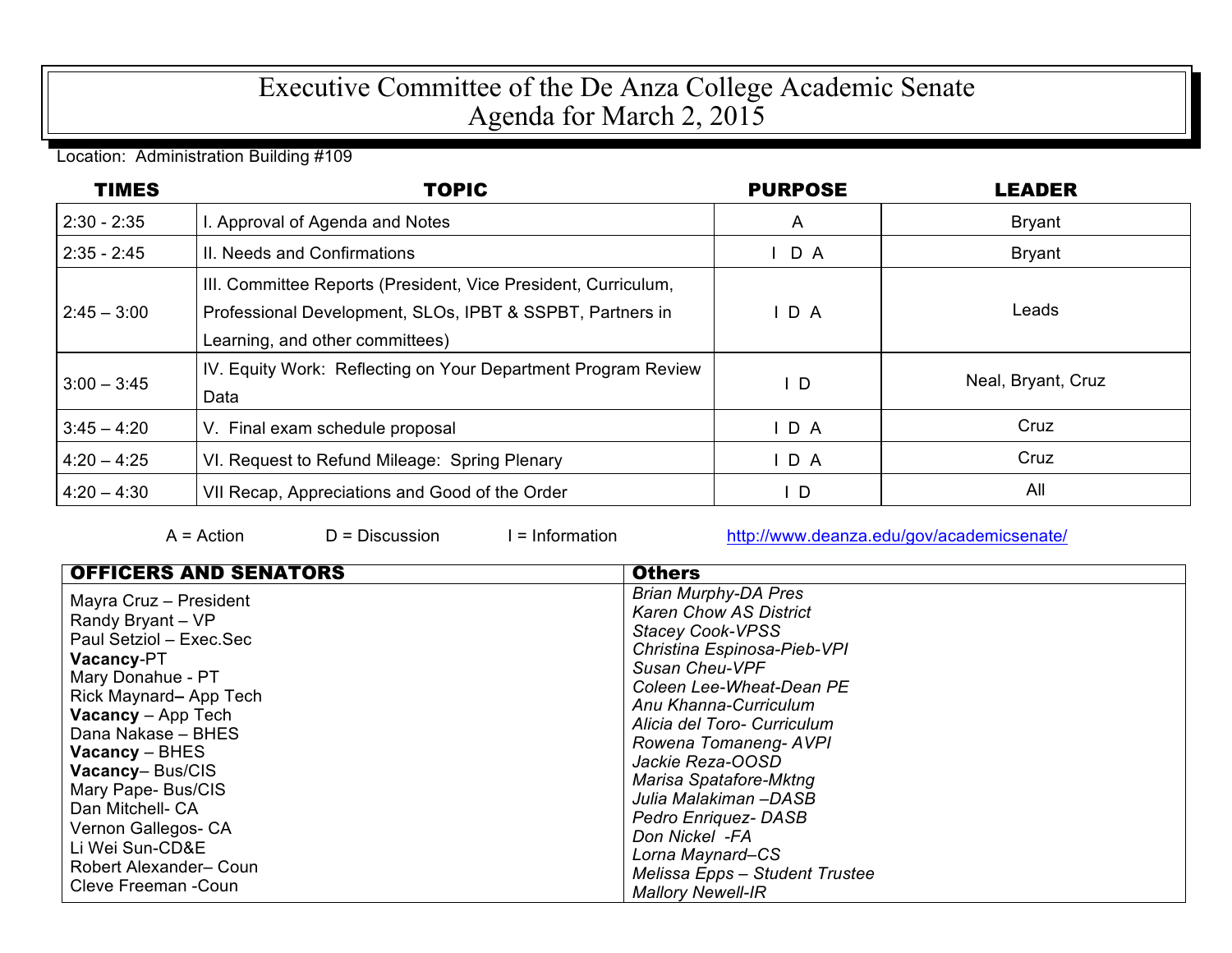## Executive Committee of the De Anza College Academic Senate Agenda for March 2, 2015

Location: Administration Building #109

| <b>TIMES</b>  | <b>TOPIC</b>                                                                                                                                                   | <b>PURPOSE</b> | <b>LEADER</b>      |
|---------------|----------------------------------------------------------------------------------------------------------------------------------------------------------------|----------------|--------------------|
| $2:30 - 2:35$ | I. Approval of Agenda and Notes                                                                                                                                | $\mathsf{A}$   | <b>Bryant</b>      |
| $2:35 - 2:45$ | II. Needs and Confirmations                                                                                                                                    | $I$ D A        | <b>Bryant</b>      |
| $2:45 - 3:00$ | III. Committee Reports (President, Vice President, Curriculum,<br>Professional Development, SLOs, IPBT & SSPBT, Partners in<br>Learning, and other committees) | D A            | Leads              |
| $3:00 - 3:45$ | IV. Equity Work: Reflecting on Your Department Program Review<br>Data                                                                                          | I D            | Neal, Bryant, Cruz |
| $3:45 - 4:20$ | V. Final exam schedule proposal                                                                                                                                | $I$ D A        | Cruz               |
| $4:20 - 4:25$ | VI. Request to Refund Mileage: Spring Plenary                                                                                                                  | $I$ D A        | Cruz               |
| $4:20 - 4:30$ | VII Recap, Appreciations and Good of the Order                                                                                                                 | $\mathsf{I}$ D | All                |

A = Action D = Discussion I = Information http://www.deanza.edu/gov/academicsenate/

| <b>OFFICERS AND SENATORS</b>                                                                                                                                                                                                                                                                                                                                                          | <b>Others</b>                                                                                                                                                                                                                                                                                                                                                                                                                                          |
|---------------------------------------------------------------------------------------------------------------------------------------------------------------------------------------------------------------------------------------------------------------------------------------------------------------------------------------------------------------------------------------|--------------------------------------------------------------------------------------------------------------------------------------------------------------------------------------------------------------------------------------------------------------------------------------------------------------------------------------------------------------------------------------------------------------------------------------------------------|
| Mayra Cruz - President<br>Randy Bryant - VP<br>Paul Setziol - Exec.Sec<br><b>Vacancy-PT</b><br>Mary Donahue - PT<br>Rick Maynard-App Tech<br><b>Vacancy</b> – App Tech<br>Dana Nakase - BHES<br><b>Vacancy</b> – BHES<br><b>Vacancy-Bus/CIS</b><br>Mary Pape- Bus/CIS<br>Dan Mitchell- CA<br>Vernon Gallegos- CA<br>Li Wei Sun-CD&E<br>Robert Alexander- Coun<br>Cleve Freeman - Coun | <b>Brian Murphy-DA Pres</b><br><b>Karen Chow AS District</b><br><b>Stacey Cook-VPSS</b><br>Christina Espinosa-Pieb-VPI<br>Susan Cheu-VPF<br>Coleen Lee-Wheat-Dean PE<br>Anu Khanna-Curriculum<br>Alicia del Toro- Curriculum<br>Rowena Tomaneng-AVPI<br>Jackie Reza-OOSD<br>Marisa Spatafore-Mktng<br>Julia Malakiman –DASB<br>Pedro Enriquez-DASB<br>Don Nickel -FA<br>Lorna Maynard-CS<br>Melissa Epps - Student Trustee<br><b>Mallory Newell-IR</b> |